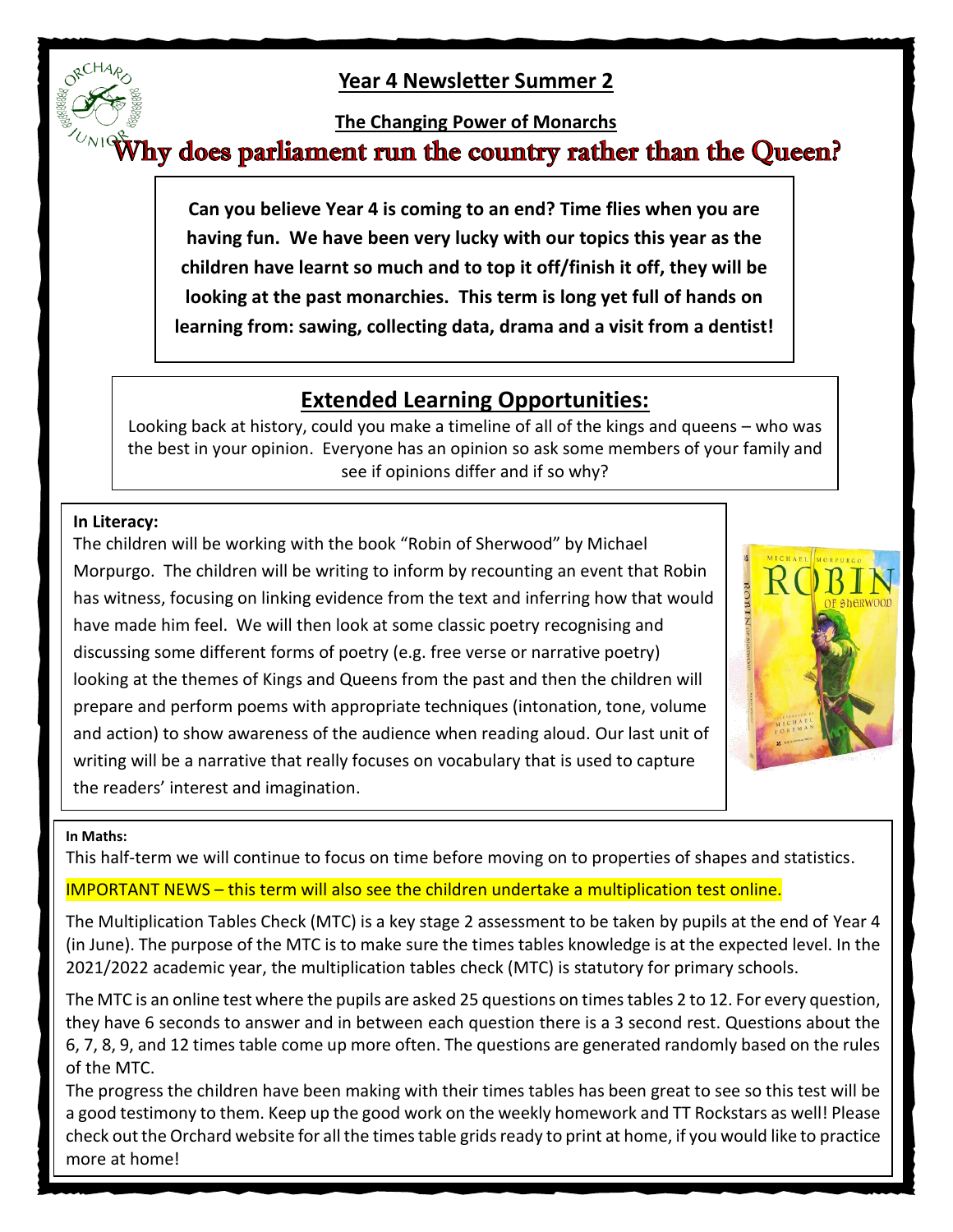## **Year 4 Newsletter Summer 2**

# **The Changing Power of Monarchs**<br>**Why does parliament run the country rather than the Queen?**

**Can you believe Year 4 is coming to an end? Time flies when you are having fun. We have been very lucky with our topics this year as the children have learnt so much and to top it off/finish it off, they will be looking at the past monarchies. This term is long yet full of hands on learning from: sawing, collecting data, drama and a visit from a dentist!**

# **Extended Learning Opportunities:**

Looking back at history, could you make a timeline of all of the kings and queens – who was the best in your opinion. Everyone has an opinion so ask some members of your family and see if opinions differ and if so why?

## **In Literacy:**

The children will be working with the book "Robin of Sherwood" by Michael Morpurgo. The children will be writing to inform by recounting an event that Robin has witness, focusing on linking evidence from the text and inferring how that would have made him feel. We will then look at some classic poetry recognising and discussing some different forms of poetry (e.g. free verse or narrative poetry) looking at the themes of Kings and Queens from the past and then the children will prepare and perform poems with appropriate techniques (intonation, tone, volume and action) to show awareness of the audience when reading aloud. Our last unit of writing will be a narrative that really focuses on vocabulary that is used to capture the readers' interest and imagination.



## **In Maths:**

This half-term we will continue to focus on time before moving on to properties of shapes and statistics.

## IMPORTANT NEWS – this term will also see the children undertake a multiplication test online.

The Multiplication Tables Check (MTC) is a key stage 2 assessment to be taken by pupils at the end of Year 4 (in June). The purpose of the MTC is to make sure the times tables knowledge is at the expected level. In the 2021/2022 academic year, the multiplication tables check (MTC) is statutory for primary schools.

The MTC is an online test where the pupils are asked 25 questions on times tables 2 to 12. For every question, they have 6 seconds to answer and in between each question there is a 3 second rest. Questions about the 6, 7, 8, 9, and 12 times table come up more often. The questions are generated randomly based on the rules of the MTC.

The progress the children have been making with their times tables has been great to see so this test will be a good testimony to them. Keep up the good work on the weekly homework and TT Rockstars as well! Please check out the Orchard website for all the times table grids ready to print at home, if you would like to practice more at home!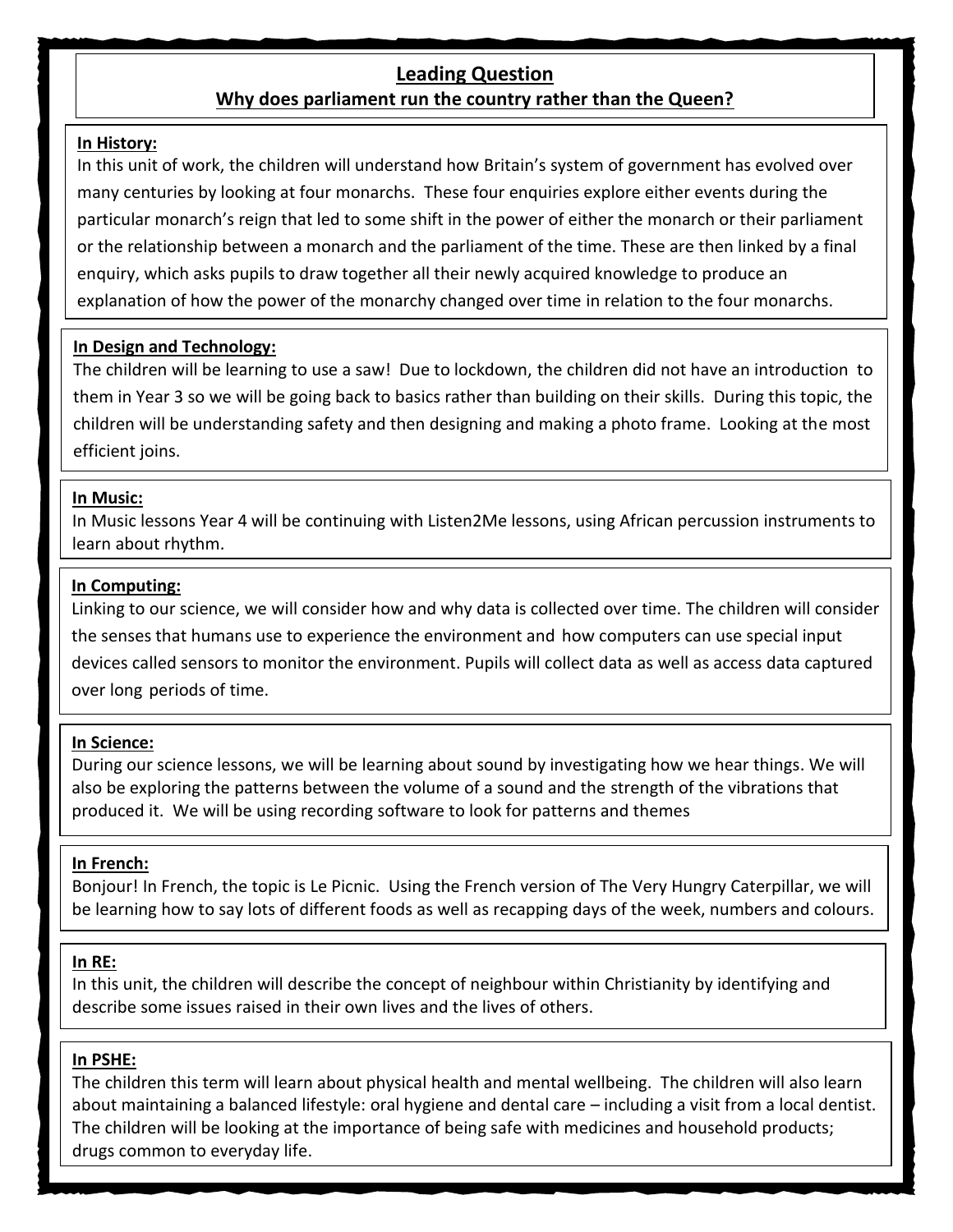## **Leading Question**

## **Why does parliament run the country rather than the Queen?**

#### **In History:**

In this unit of work, the children will understand how Britain's system of government has evolved over many centuries by looking at four monarchs. These four enquiries explore either events during the particular monarch's reign that led to some shift in the power of either the monarch or their parliament or the relationship between a monarch and the parliament of the time. These are then linked by a final enquiry, which asks pupils to draw together all their newly acquired knowledge to produce an explanation of how the power of the monarchy changed over time in relation to the four monarchs.

#### **In Design and Technology:**

The children will be learning to use a saw! Due to lockdown, the children did not have an introduction to them in Year 3 so we will be going back to basics rather than building on their skills. During this topic, the children will be understanding safety and then designing and making a photo frame. Looking at the most efficient joins.

#### **In Music:**

In Music lessons Year 4 will be continuing with Listen2Me lessons, using African percussion instruments to learn about rhythm.

#### **In Computing:**

Linking to our science, we will consider how and why data is collected over time. The children will consider the senses that humans use to experience the environment and how computers can use special input devices called sensors to monitor the environment. Pupils will collect data as well as access data captured over long periods of time.

#### **In Science:**

During our science lessons, we will be learning about sound by investigating how we hear things. We will also be exploring the patterns between the volume of a sound and the strength of the vibrations that produced it. We will be using recording software to look for patterns and themes

## **In French:**

Bonjour! In French, the topic is Le Picnic. Using the French version of The Very Hungry Caterpillar, we will be learning how to say lots of different foods as well as recapping days of the week, numbers and colours.

#### **In RE:**

In this unit, the children will describe the concept of neighbour within Christianity by identifying and describe some issues raised in their own lives and the lives of others.

#### **In PSHE:**

The children this term will learn about physical health and mental wellbeing. The children will also learn about maintaining a balanced lifestyle: oral hygiene and dental care – including a visit from a local dentist. The children will be looking at the importance of being safe with medicines and household products; drugs common to everyday life.